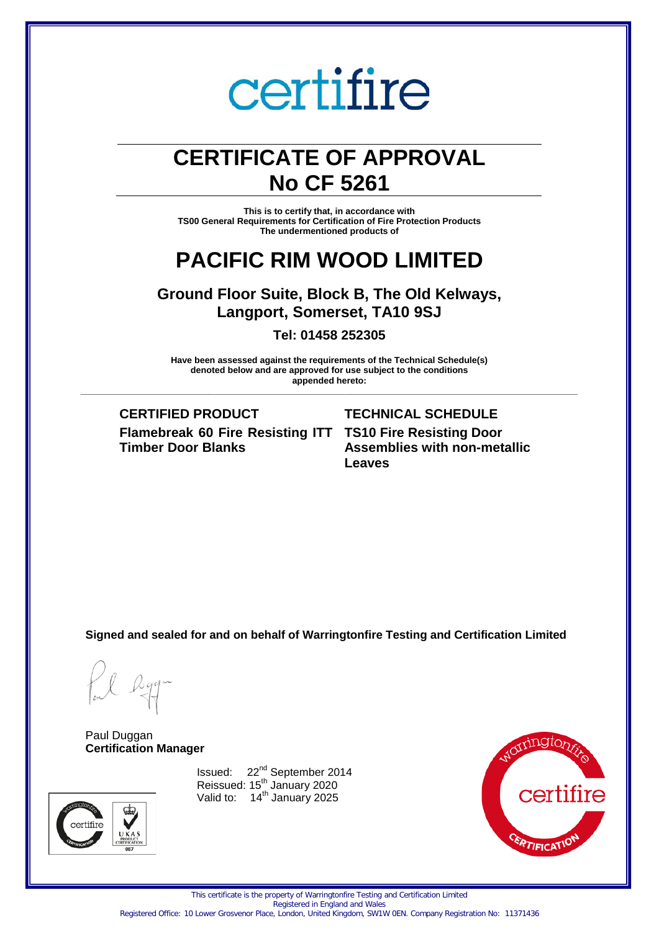# **CERTIFICATE OF APPROVAL No CF 5261**

**This is to certify that, in accordance with TS00 General Requirements for Certification of Fire Protection Products The undermentioned products of**

# **PACIFIC RIM WOOD LIMITED**

**Ground Floor Suite, Block B, The Old Kelways, Langport, Somerset, TA10 9SJ**

**Tel: 01458 252305**

**Have been assessed against the requirements of the Technical Schedule(s) denoted below and are approved for use subject to the conditions appended hereto:**

**\_\_\_\_\_\_\_\_\_\_\_\_\_\_\_\_\_\_\_\_\_\_\_\_\_\_\_\_\_\_\_\_\_\_\_\_\_\_\_\_\_\_\_\_\_\_\_\_\_\_\_\_\_\_\_\_\_\_\_\_\_\_\_\_\_\_\_\_\_\_\_\_\_\_\_\_\_\_\_\_\_\_\_\_\_\_\_\_\_\_\_\_\_\_\_\_\_\_\_\_\_**

**CERTIFIED PRODUCT TECHNICAL SCHEDULE Flamebreak 60 Fire Resisting ITT TS10 Fire Resisting Door Timber Door Blanks**

**Assemblies with non-metallic Leaves**

**Signed and sealed for and on behalf of Warringtonfire Testing and Certification Limited**

Paul Duggan **Certification Manager**



Issued: 22<sup>nd</sup> September 2014 Reissued:  $15<sup>th</sup>$  January 2020 Valid to: 14<sup>th</sup> January 2025



This certificate is the property of Warringtonfire Testing and Certification Limited Registered in England and Wales Registered Office: 10 Lower Grosvenor Place, London, United Kingdom, SW1W 0EN. Company Registration No: 11371436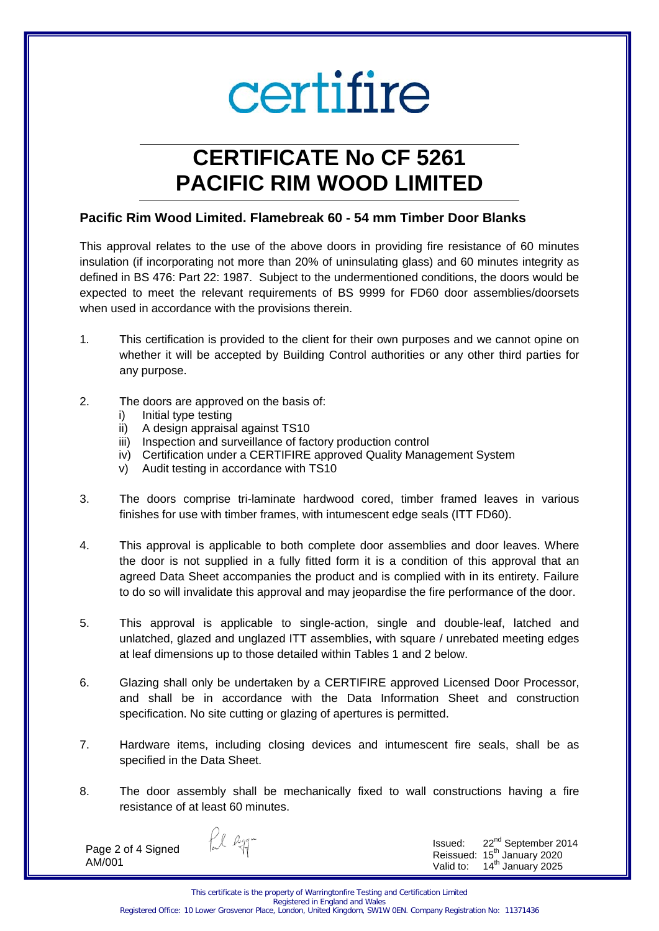# **CERTIFICATE No CF 5261 PACIFIC RIM WOOD LIMITED**

# **Pacific Rim Wood Limited. Flamebreak 60 - 54 mm Timber Door Blanks**

This approval relates to the use of the above doors in providing fire resistance of 60 minutes insulation (if incorporating not more than 20% of uninsulating glass) and 60 minutes integrity as defined in BS 476: Part 22: 1987. Subject to the undermentioned conditions, the doors would be expected to meet the relevant requirements of BS 9999 for FD60 door assemblies/doorsets when used in accordance with the provisions therein.

- 1. This certification is provided to the client for their own purposes and we cannot opine on whether it will be accepted by Building Control authorities or any other third parties for any purpose.
- 2. The doors are approved on the basis of:
	- i) Initial type testing
	- ii) A design appraisal against TS10
	- iii) Inspection and surveillance of factory production control
	- iv) Certification under a CERTIFIRE approved Quality Management System
	- v) Audit testing in accordance with TS10
- 3. The doors comprise tri-laminate hardwood cored, timber framed leaves in various finishes for use with timber frames, with intumescent edge seals (ITT FD60).
- 4. This approval is applicable to both complete door assemblies and door leaves. Where the door is not supplied in a fully fitted form it is a condition of this approval that an agreed Data Sheet accompanies the product and is complied with in its entirety. Failure to do so will invalidate this approval and may jeopardise the fire performance of the door.
- 5. This approval is applicable to single-action, single and double-leaf, latched and unlatched, glazed and unglazed ITT assemblies, with square / unrebated meeting edges at leaf dimensions up to those detailed within Tables 1 and 2 below.
- 6. Glazing shall only be undertaken by a CERTIFIRE approved Licensed Door Processor, and shall be in accordance with the Data Information Sheet and construction specification. No site cutting or glazing of apertures is permitted.
- 7. Hardware items, including closing devices and intumescent fire seals, shall be as specified in the Data Sheet.
- 8. The door assembly shall be mechanically fixed to wall constructions having a fire resistance of at least 60 minutes.

Page 2 of 4 Signed AM/001

fil agg-

Issued: 22<sup>nd</sup> September 2014 Reissued:  $15<sup>th</sup>$  January 2020<br>Valid to:  $14<sup>th</sup>$  January 2025 14<sup>th</sup> January 2025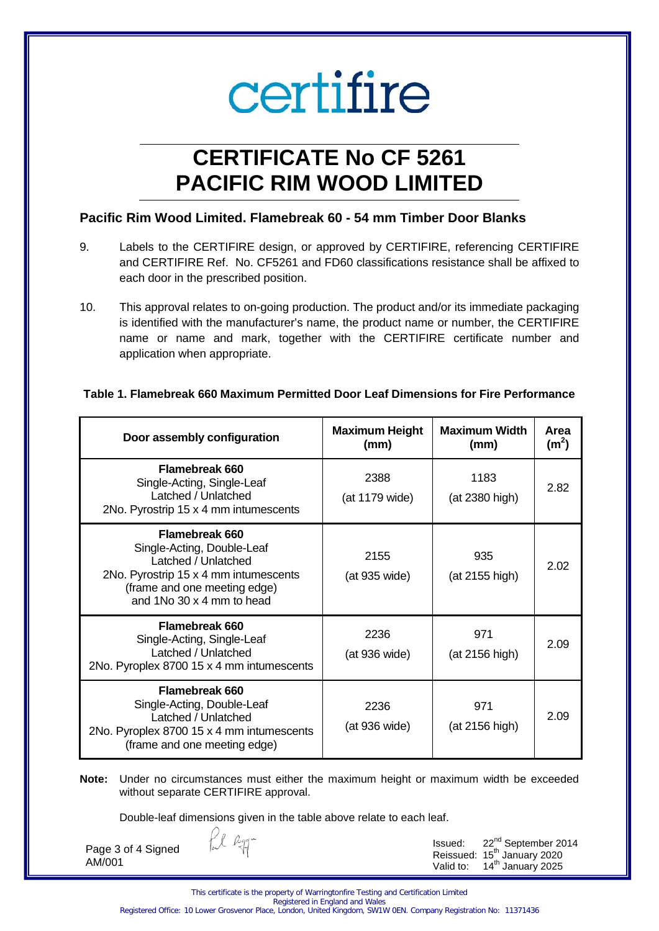# **CERTIFICATE No CF 5261 PACIFIC RIM WOOD LIMITED**

# **Pacific Rim Wood Limited. Flamebreak 60 - 54 mm Timber Door Blanks**

- 9. Labels to the CERTIFIRE design, or approved by CERTIFIRE, referencing CERTIFIRE and CERTIFIRE Ref. No. CF5261 and FD60 classifications resistance shall be affixed to each door in the prescribed position.
- 10. This approval relates to on-going production. The product and/or its immediate packaging is identified with the manufacturer's name, the product name or number, the CERTIFIRE name or name and mark, together with the CERTIFIRE certificate number and application when appropriate.

# **Table 1. Flamebreak 660 Maximum Permitted Door Leaf Dimensions for Fire Performance**

| Door assembly configuration                                                                                                                                               | <b>Maximum Height</b><br>(mm) | <b>Maximum Width</b><br>(mm) | Area<br>(m <sup>2</sup> ) |
|---------------------------------------------------------------------------------------------------------------------------------------------------------------------------|-------------------------------|------------------------------|---------------------------|
| <b>Flamebreak 660</b><br>Single-Acting, Single-Leaf<br>Latched / Unlatched<br>2No. Pyrostrip 15 x 4 mm intumescents                                                       | 2388<br>(at 1179 wide)        | 1183<br>(at 2380 high)       | 2.82                      |
| Flamebreak 660<br>Single-Acting, Double-Leaf<br>Latched / Unlatched<br>2No. Pyrostrip 15 x 4 mm intumescents<br>(frame and one meeting edge)<br>and 1No 30 x 4 mm to head | 2155<br>(at 935 wide)         | 935<br>(at 2155 high)        | 2.02                      |
| Flamebreak 660<br>Single-Acting, Single-Leaf<br>Latched / Unlatched<br>2No. Pyroplex 8700 15 x 4 mm intumescents                                                          | 2236<br>(at 936 wide)         | 971<br>(at 2156 high)        | 2.09                      |
| Flamebreak 660<br>Single-Acting, Double-Leaf<br>Latched / Unlatched<br>2No. Pyroplex 8700 15 x 4 mm intumescents<br>(frame and one meeting edge)                          | 2236<br>(at 936 wide)         | 971<br>(at 2156 high)        | 2.09                      |

**Note:** Under no circumstances must either the maximum height or maximum width be exceeded without separate CERTIFIRE approval.

Double-leaf dimensions given in the table above relate to each leaf.

Page 3 of 4 Signed

AM/001

Issued: 22nd September 2014 Reissued:  $15^{th}$  January 2020<br>Valid to:  $14^{th}$  January 2025 14<sup>th</sup> January 2025

Registered Office: 10 Lower Grosvenor Place, London, United Kingdom, SW1W 0EN. Company Registration No: 11371436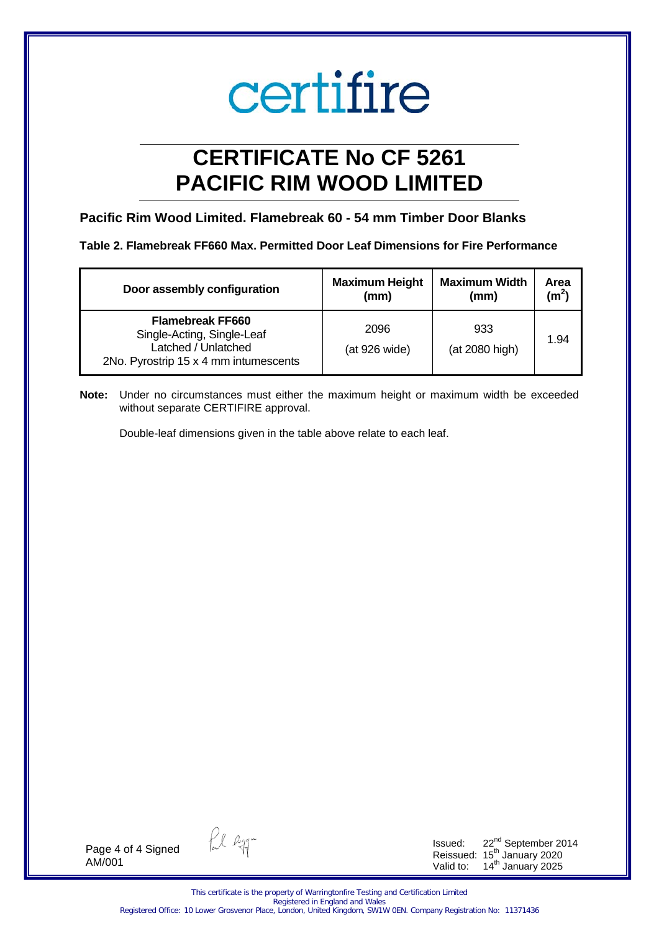# **CERTIFICATE No CF 5261 PACIFIC RIM WOOD LIMITED**

# **Pacific Rim Wood Limited. Flamebreak 60 - 54 mm Timber Door Blanks**

**Table 2. Flamebreak FF660 Max. Permitted Door Leaf Dimensions for Fire Performance** 

| Door assembly configuration                                                                                           | <b>Maximum Height</b> | <b>Maximum Width</b>  | Area    |
|-----------------------------------------------------------------------------------------------------------------------|-----------------------|-----------------------|---------|
|                                                                                                                       | (mm)                  | (mm)                  | $(m^2)$ |
| <b>Flamebreak FF660</b><br>Single-Acting, Single-Leaf<br>Latched / Unlatched<br>2No. Pyrostrip 15 x 4 mm intumescents | 2096<br>(at 926 wide) | 933<br>(at 2080 high) | 1.94    |

**Note:** Under no circumstances must either the maximum height or maximum width be exceeded without separate CERTIFIRE approval.

Double-leaf dimensions given in the table above relate to each leaf.

Page 4 of 4 Signed AM/001

fil egg-

Issued:  $22^{nd}$  September 2014 Reissued: 15<sup>th</sup> January 2020 Valid to: 14<sup>th</sup> January 2025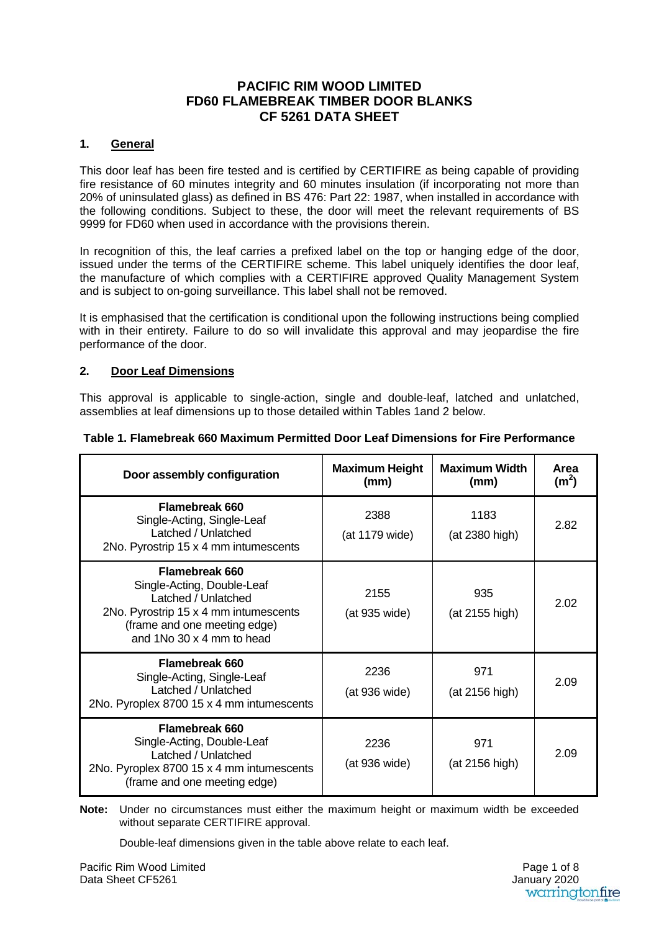# **PACIFIC RIM WOOD LIMITED FD60 FLAMEBREAK TIMBER DOOR BLANKS CF 5261 DATA SHEET**

#### **1. General**

This door leaf has been fire tested and is certified by CERTIFIRE as being capable of providing fire resistance of 60 minutes integrity and 60 minutes insulation (if incorporating not more than 20% of uninsulated glass) as defined in BS 476: Part 22: 1987, when installed in accordance with the following conditions. Subject to these, the door will meet the relevant requirements of BS 9999 for FD60 when used in accordance with the provisions therein.

In recognition of this, the leaf carries a prefixed label on the top or hanging edge of the door, issued under the terms of the CERTIFIRE scheme. This label uniquely identifies the door leaf, the manufacture of which complies with a CERTIFIRE approved Quality Management System and is subject to on-going surveillance. This label shall not be removed.

It is emphasised that the certification is conditional upon the following instructions being complied with in their entirety. Failure to do so will invalidate this approval and may jeopardise the fire performance of the door.

# **2. Door Leaf Dimensions**

This approval is applicable to single-action, single and double-leaf, latched and unlatched, assemblies at leaf dimensions up to those detailed within Tables 1and 2 below.

| Door assembly configuration                                                                                                                                               | <b>Maximum Height</b><br>(mm) | <b>Maximum Width</b><br>(mm) | Area<br>(m <sup>2</sup> ) |
|---------------------------------------------------------------------------------------------------------------------------------------------------------------------------|-------------------------------|------------------------------|---------------------------|
| <b>Flamebreak 660</b><br>Single-Acting, Single-Leaf<br>Latched / Unlatched<br>2No. Pyrostrip 15 x 4 mm intumescents                                                       | 2388<br>(at 1179 wide)        | 1183<br>(at 2380 high)       | 2.82                      |
| Flamebreak 660<br>Single-Acting, Double-Leaf<br>Latched / Unlatched<br>2No. Pyrostrip 15 x 4 mm intumescents<br>(frame and one meeting edge)<br>and 1No 30 x 4 mm to head | 2155<br>(at 935 wide)         | 935<br>(at 2155 high)        | 2.02                      |
| Flamebreak 660<br>Single-Acting, Single-Leaf<br>Latched / Unlatched<br>2No. Pyroplex 8700 15 x 4 mm intumescents                                                          | 2236<br>(at 936 wide)         | 971<br>(at 2156 high)        | 2.09                      |
| <b>Flamebreak 660</b><br>Single-Acting, Double-Leaf<br>Latched / Unlatched<br>2No. Pyroplex 8700 15 x 4 mm intumescents<br>(frame and one meeting edge)                   | 2236<br>(at 936 wide)         | 971<br>(at 2156 high)        | 2.09                      |

#### **Table 1. Flamebreak 660 Maximum Permitted Door Leaf Dimensions for Fire Performance**

**Note:** Under no circumstances must either the maximum height or maximum width be exceeded without separate CERTIFIRE approval.

Double-leaf dimensions given in the table above relate to each leaf.

 January 2020Page 1 of 8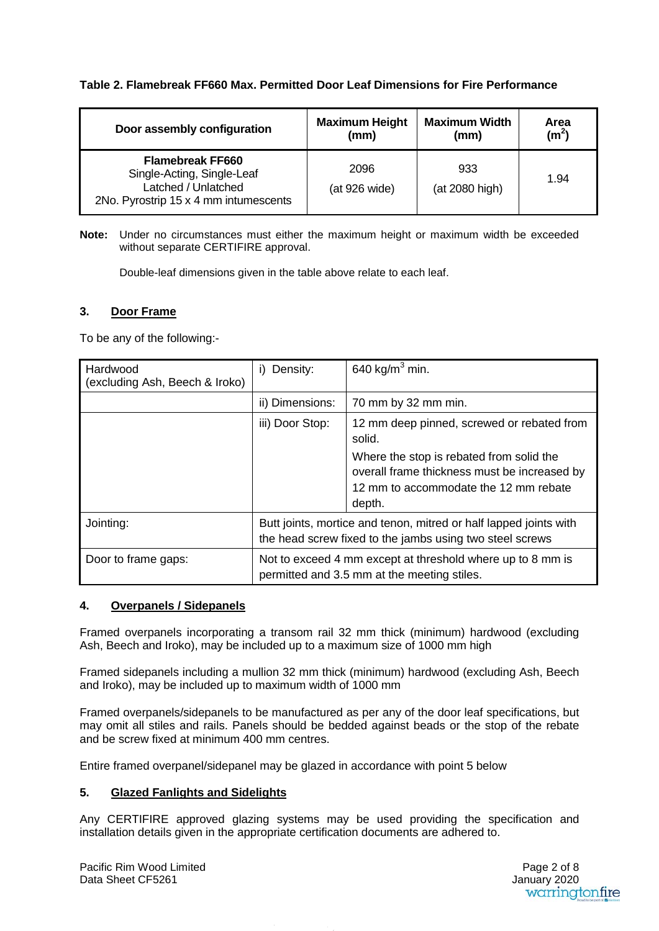# **Table 2. Flamebreak FF660 Max. Permitted Door Leaf Dimensions for Fire Performance**

| Door assembly configuration                                                                                           | <b>Maximum Height</b> | <b>Maximum Width</b>  | Area              |
|-----------------------------------------------------------------------------------------------------------------------|-----------------------|-----------------------|-------------------|
|                                                                                                                       | (mm)                  | (mm)                  | (m <sup>2</sup> ) |
| <b>Flamebreak FF660</b><br>Single-Acting, Single-Leaf<br>Latched / Unlatched<br>2No. Pyrostrip 15 x 4 mm intumescents | 2096<br>(at 926 wide) | 933<br>(at 2080 high) | 1.94              |

**Note:** Under no circumstances must either the maximum height or maximum width be exceeded without separate CERTIFIRE approval.

Double-leaf dimensions given in the table above relate to each leaf.

#### **3. Door Frame**

To be any of the following:-

| Hardwood<br>(excluding Ash, Beech & Iroko) | Density:<br>I)                                                                                                                | 640 kg/m <sup>3</sup> min.                                                                                                                                                                          |
|--------------------------------------------|-------------------------------------------------------------------------------------------------------------------------------|-----------------------------------------------------------------------------------------------------------------------------------------------------------------------------------------------------|
|                                            | ii) Dimensions:                                                                                                               | 70 mm by 32 mm min.                                                                                                                                                                                 |
|                                            | iii) Door Stop:                                                                                                               | 12 mm deep pinned, screwed or rebated from<br>solid.<br>Where the stop is rebated from solid the<br>overall frame thickness must be increased by<br>12 mm to accommodate the 12 mm rebate<br>depth. |
| Jointing:                                  | Butt joints, mortice and tenon, mitred or half lapped joints with<br>the head screw fixed to the jambs using two steel screws |                                                                                                                                                                                                     |
| Door to frame gaps:                        | Not to exceed 4 mm except at threshold where up to 8 mm is<br>permitted and 3.5 mm at the meeting stiles.                     |                                                                                                                                                                                                     |

#### **4. Overpanels / Sidepanels**

Framed overpanels incorporating a transom rail 32 mm thick (minimum) hardwood (excluding Ash, Beech and Iroko), may be included up to a maximum size of 1000 mm high

Framed sidepanels including a mullion 32 mm thick (minimum) hardwood (excluding Ash, Beech and Iroko), may be included up to maximum width of 1000 mm

Framed overpanels/sidepanels to be manufactured as per any of the door leaf specifications, but may omit all stiles and rails. Panels should be bedded against beads or the stop of the rebate and be screw fixed at minimum 400 mm centres.

Entire framed overpanel/sidepanel may be glazed in accordance with point 5 below

# **5. Glazed Fanlights and Sidelights**

Any CERTIFIRE approved glazing systems may be used providing the specification and installation details given in the appropriate certification documents are adhered to.

 January 2020Page 2 of 8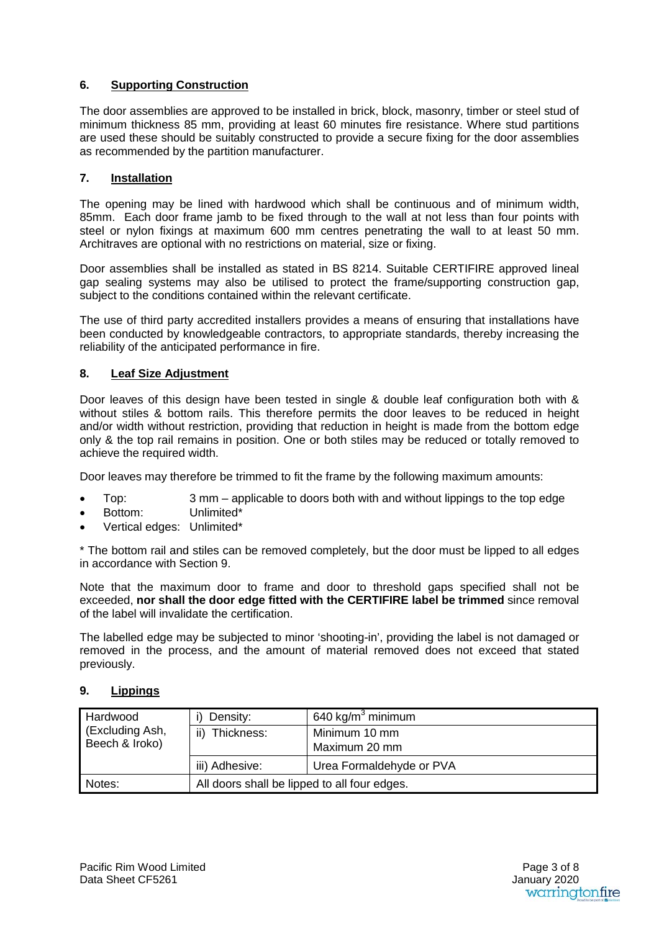# **6. Supporting Construction**

The door assemblies are approved to be installed in brick, block, masonry, timber or steel stud of minimum thickness 85 mm, providing at least 60 minutes fire resistance. Where stud partitions are used these should be suitably constructed to provide a secure fixing for the door assemblies as recommended by the partition manufacturer.

# **7. Installation**

The opening may be lined with hardwood which shall be continuous and of minimum width, 85mm. Each door frame jamb to be fixed through to the wall at not less than four points with steel or nylon fixings at maximum 600 mm centres penetrating the wall to at least 50 mm. Architraves are optional with no restrictions on material, size or fixing.

Door assemblies shall be installed as stated in BS 8214. Suitable CERTIFIRE approved lineal gap sealing systems may also be utilised to protect the frame/supporting construction gap, subject to the conditions contained within the relevant certificate.

The use of third party accredited installers provides a means of ensuring that installations have been conducted by knowledgeable contractors, to appropriate standards, thereby increasing the reliability of the anticipated performance in fire.

# **8. Leaf Size Adjustment**

Door leaves of this design have been tested in single & double leaf configuration both with & without stiles & bottom rails. This therefore permits the door leaves to be reduced in height and/or width without restriction, providing that reduction in height is made from the bottom edge only & the top rail remains in position. One or both stiles may be reduced or totally removed to achieve the required width.

Door leaves may therefore be trimmed to fit the frame by the following maximum amounts:

- Top: 3 mm applicable to doors both with and without lippings to the top edge
- Bottom: Unlimited\*
- Vertical edges: Unlimited\*

\* The bottom rail and stiles can be removed completely, but the door must be lipped to all edges in accordance with Section 9.

Note that the maximum door to frame and door to threshold gaps specified shall not be exceeded, **nor shall the door edge fitted with the CERTIFIRE label be trimmed** since removal of the label will invalidate the certification.

The labelled edge may be subjected to minor 'shooting-in', providing the label is not damaged or removed in the process, and the amount of material removed does not exceed that stated previously.

# **9. Lippings**

| Hardwood        | Density:                                     | 640 kg/m <sup>3</sup> minimum |
|-----------------|----------------------------------------------|-------------------------------|
| (Excluding Ash, | Thickness:<br>ii)                            | Minimum 10 mm                 |
| Beech & Iroko)  |                                              | Maximum 20 mm                 |
|                 | iii) Adhesive:                               | Urea Formaldehyde or PVA      |
| Notes:          | All doors shall be lipped to all four edges. |                               |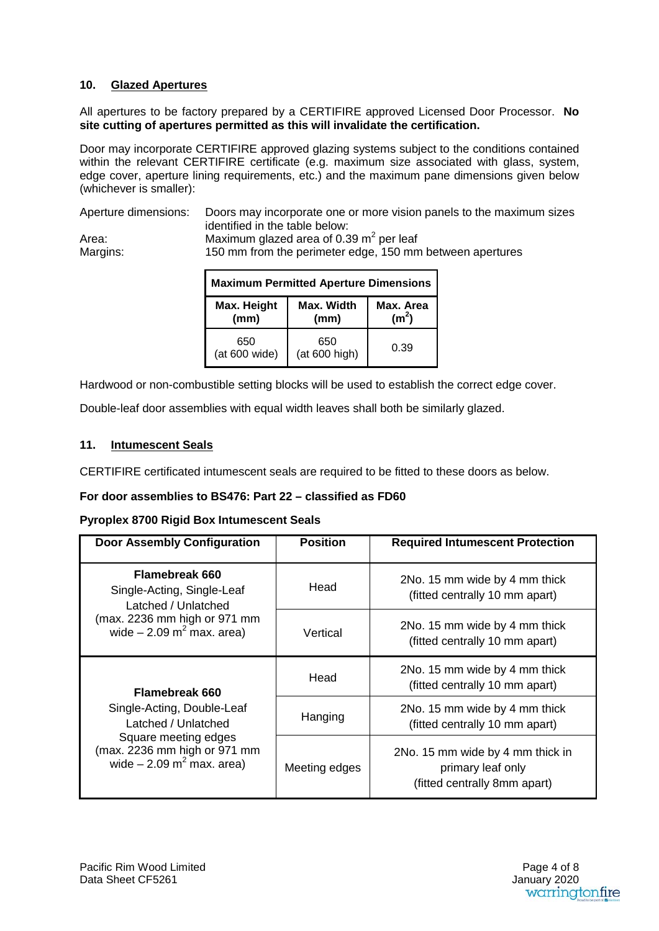# **10. Glazed Apertures**

All apertures to be factory prepared by a CERTIFIRE approved Licensed Door Processor. **No site cutting of apertures permitted as this will invalidate the certification.**

Door may incorporate CERTIFIRE approved glazing systems subject to the conditions contained within the relevant CERTIFIRE certificate (e.g. maximum size associated with glass, system, edge cover, aperture lining requirements, etc.) and the maximum pane dimensions given below (whichever is smaller):

Aperture dimensions: Doors may incorporate one or more vision panels to the maximum sizes identified in the table below: Area: Maximum glazed area of 0.39 m<sup>2</sup> per leaf<br>Margins: 150 mm from the perimeter edge, 150 mm 150 mm from the perimeter edge, 150 mm between apertures

| <b>Maximum Permitted Aperture Dimensions</b> |                      |                                |
|----------------------------------------------|----------------------|--------------------------------|
| Max. Width<br>Max. Height<br>(mm)<br>(mm)    |                      | Max. Area<br>(m <sup>2</sup> ) |
| 650<br>(at 600 wide)                         | 650<br>(at 600 high) | 0.39                           |

Hardwood or non-combustible setting blocks will be used to establish the correct edge cover.

Double-leaf door assemblies with equal width leaves shall both be similarly glazed.

# **11. Intumescent Seals**

CERTIFIRE certificated intumescent seals are required to be fitted to these doors as below.

# **For door assemblies to BS476: Part 22 – classified as FD60**

#### **Pyroplex 8700 Rigid Box Intumescent Seals**

| <b>Door Assembly Configuration</b>                                                                                                                                           | <b>Position</b> | <b>Required Intumescent Protection</b>                                                |
|------------------------------------------------------------------------------------------------------------------------------------------------------------------------------|-----------------|---------------------------------------------------------------------------------------|
| <b>Flamebreak 660</b><br>Single-Acting, Single-Leaf<br>Latched / Unlatched<br>(max. 2236 mm high or 971 mm<br>wide $-2.09$ m <sup>2</sup> max. area)                         | Head            | 2No. 15 mm wide by 4 mm thick<br>(fitted centrally 10 mm apart)                       |
|                                                                                                                                                                              | Vertical        | 2No. 15 mm wide by 4 mm thick<br>(fitted centrally 10 mm apart)                       |
| <b>Flamebreak 660</b><br>Single-Acting, Double-Leaf<br>Latched / Unlatched<br>Square meeting edges<br>(max. 2236 mm high or 971 mm<br>wide $-2.09$ m <sup>2</sup> max. area) | Head            | 2No. 15 mm wide by 4 mm thick<br>(fitted centrally 10 mm apart)                       |
|                                                                                                                                                                              | Hanging         | 2No. 15 mm wide by 4 mm thick<br>(fitted centrally 10 mm apart)                       |
|                                                                                                                                                                              | Meeting edges   | 2No. 15 mm wide by 4 mm thick in<br>primary leaf only<br>(fitted centrally 8mm apart) |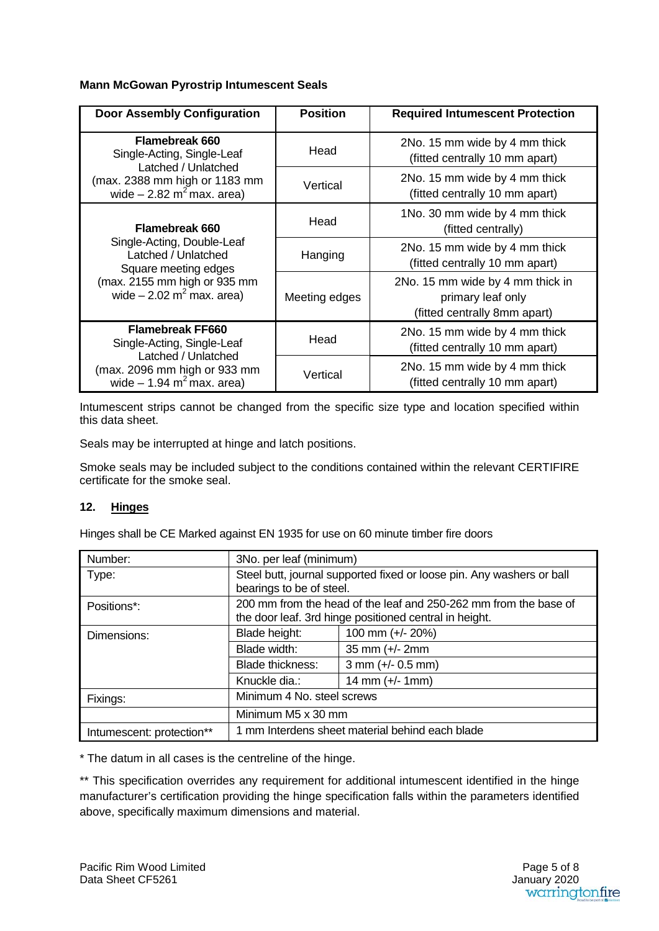#### **Mann McGowan Pyrostrip Intumescent Seals**

| <b>Door Assembly Configuration</b>                                                                                                                     | <b>Position</b> | <b>Required Intumescent Protection</b>                                                |
|--------------------------------------------------------------------------------------------------------------------------------------------------------|-----------------|---------------------------------------------------------------------------------------|
| <b>Flamebreak 660</b><br>Single-Acting, Single-Leaf                                                                                                    | Head            | 2No. 15 mm wide by 4 mm thick<br>(fitted centrally 10 mm apart)                       |
| Latched / Unlatched<br>(max. 2388 mm high or 1183 mm<br>wide $-2.82$ m <sup>2</sup> max. area)                                                         | Vertical        | 2No. 15 mm wide by 4 mm thick<br>(fitted centrally 10 mm apart)                       |
| <b>Flamebreak 660</b>                                                                                                                                  | Head            | 1No. 30 mm wide by 4 mm thick<br>(fitted centrally)                                   |
| Single-Acting, Double-Leaf<br>Latched / Unlatched<br>Square meeting edges<br>(max. 2155 mm high or 935 mm<br>wide $-2.02$ m <sup>2</sup> max. area)    | Hanging         | 2No. 15 mm wide by 4 mm thick<br>(fitted centrally 10 mm apart)                       |
|                                                                                                                                                        | Meeting edges   | 2No. 15 mm wide by 4 mm thick in<br>primary leaf only<br>(fitted centrally 8mm apart) |
| <b>Flamebreak FF660</b><br>Single-Acting, Single-Leaf<br>Latched / Unlatched<br>(max. 2096 mm high or 933 mm<br>wide $-1.94$ m <sup>2</sup> max. area) | Head            | 2No. 15 mm wide by 4 mm thick<br>(fitted centrally 10 mm apart)                       |
|                                                                                                                                                        | Vertical        | 2No. 15 mm wide by 4 mm thick<br>(fitted centrally 10 mm apart)                       |

Intumescent strips cannot be changed from the specific size type and location specified within this data sheet.

Seals may be interrupted at hinge and latch positions.

Smoke seals may be included subject to the conditions contained within the relevant CERTIFIRE certificate for the smoke seal.

# **12. Hinges**

Hinges shall be CE Marked against EN 1935 for use on 60 minute timber fire doors

| Number:                   | 3No. per leaf (minimum)                                                                                                    |                                      |  |
|---------------------------|----------------------------------------------------------------------------------------------------------------------------|--------------------------------------|--|
| Type:                     | Steel butt, journal supported fixed or loose pin. Any washers or ball<br>bearings to be of steel.                          |                                      |  |
| Positions*:               | 200 mm from the head of the leaf and 250-262 mm from the base of<br>the door leaf. 3rd hinge positioned central in height. |                                      |  |
| Dimensions:               | Blade height:                                                                                                              | 100 mm (+/- 20%)                     |  |
|                           | Blade width:                                                                                                               | 35 mm $(+/- 2$ mm                    |  |
|                           | <b>Blade thickness:</b>                                                                                                    | $3 \text{ mm } (+/- 0.5 \text{ mm})$ |  |
|                           | Knuckle dia.:                                                                                                              | $14 \, \text{mm}$ (+/- 1mm)          |  |
| Fixings:                  | Minimum 4 No. steel screws                                                                                                 |                                      |  |
|                           | Minimum M5 x 30 mm                                                                                                         |                                      |  |
| Intumescent: protection** | 1 mm Interdens sheet material behind each blade                                                                            |                                      |  |

\* The datum in all cases is the centreline of the hinge.

\*\* This specification overrides any requirement for additional intumescent identified in the hinge manufacturer's certification providing the hinge specification falls within the parameters identified above, specifically maximum dimensions and material.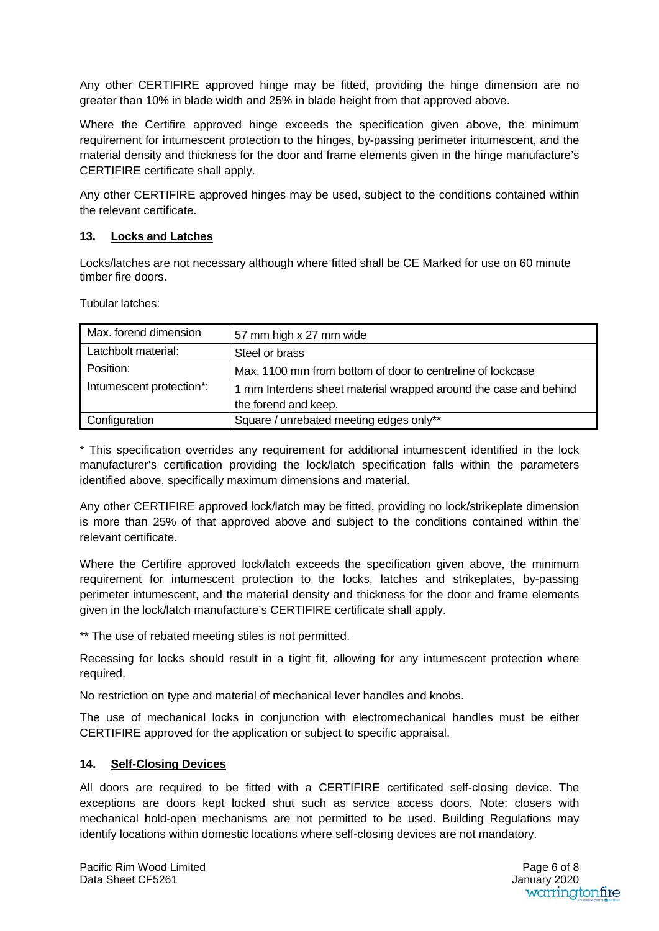Any other CERTIFIRE approved hinge may be fitted, providing the hinge dimension are no greater than 10% in blade width and 25% in blade height from that approved above.

Where the Certifire approved hinge exceeds the specification given above, the minimum requirement for intumescent protection to the hinges, by-passing perimeter intumescent, and the material density and thickness for the door and frame elements given in the hinge manufacture's CERTIFIRE certificate shall apply.

Any other CERTIFIRE approved hinges may be used, subject to the conditions contained within the relevant certificate.

## **13. Locks and Latches**

Locks/latches are not necessary although where fitted shall be CE Marked for use on 60 minute timber fire doors.

Tubular latches:

| Max. forend dimension    | 57 mm high x 27 mm wide                                          |
|--------------------------|------------------------------------------------------------------|
| Latchbolt material:      | Steel or brass                                                   |
| Position:                | Max. 1100 mm from bottom of door to centreline of lockcase       |
| Intumescent protection*: | 1 mm Interdens sheet material wrapped around the case and behind |
|                          | the forend and keep.                                             |
| Configuration            | Square / unrebated meeting edges only**                          |

\* This specification overrides any requirement for additional intumescent identified in the lock manufacturer's certification providing the lock/latch specification falls within the parameters identified above, specifically maximum dimensions and material.

Any other CERTIFIRE approved lock/latch may be fitted, providing no lock/strikeplate dimension is more than 25% of that approved above and subject to the conditions contained within the relevant certificate.

Where the Certifire approved lock/latch exceeds the specification given above, the minimum requirement for intumescent protection to the locks, latches and strikeplates, by-passing perimeter intumescent, and the material density and thickness for the door and frame elements given in the lock/latch manufacture's CERTIFIRE certificate shall apply.

\*\* The use of rebated meeting stiles is not permitted.

Recessing for locks should result in a tight fit, allowing for any intumescent protection where required.

No restriction on type and material of mechanical lever handles and knobs.

The use of mechanical locks in conjunction with electromechanical handles must be either CERTIFIRE approved for the application or subject to specific appraisal.

# **14. Self-Closing Devices**

All doors are required to be fitted with a CERTIFIRE certificated self-closing device. The exceptions are doors kept locked shut such as service access doors. Note: closers with mechanical hold-open mechanisms are not permitted to be used. Building Regulations may identify locations within domestic locations where self-closing devices are not mandatory.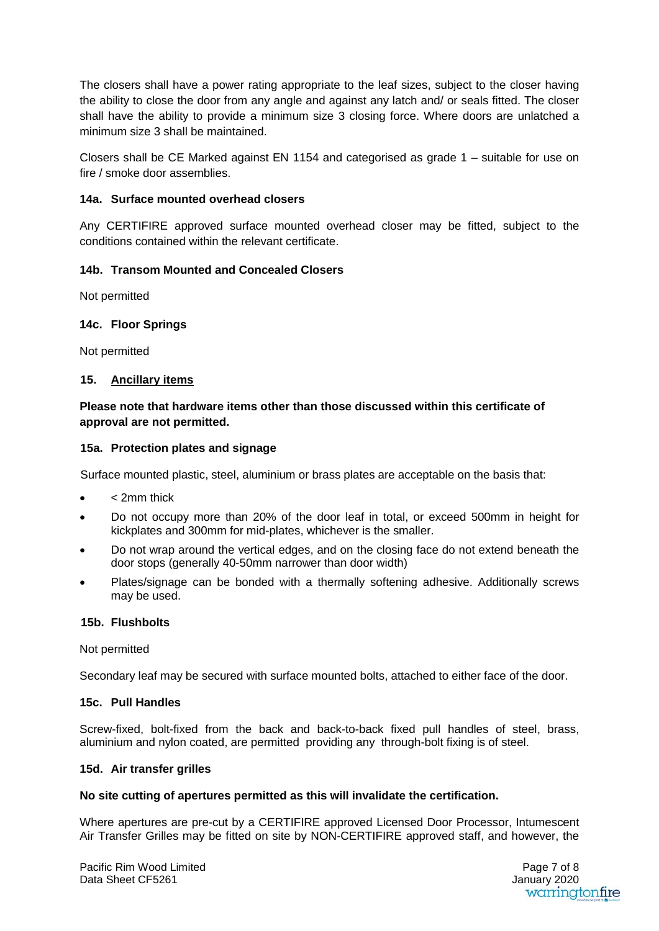The closers shall have a power rating appropriate to the leaf sizes, subject to the closer having the ability to close the door from any angle and against any latch and/ or seals fitted. The closer shall have the ability to provide a minimum size 3 closing force. Where doors are unlatched a minimum size 3 shall be maintained.

Closers shall be CE Marked against EN 1154 and categorised as grade 1 – suitable for use on fire / smoke door assemblies.

#### **14a. Surface mounted overhead closers**

Any CERTIFIRE approved surface mounted overhead closer may be fitted, subject to the conditions contained within the relevant certificate.

# **14b. Transom Mounted and Concealed Closers**

Not permitted

#### **14c. Floor Springs**

Not permitted

#### **15. Ancillary items**

# **Please note that hardware items other than those discussed within this certificate of approval are not permitted.**

#### **15a. Protection plates and signage**

Surface mounted plastic, steel, aluminium or brass plates are acceptable on the basis that:

- < 2mm thick
- Do not occupy more than 20% of the door leaf in total, or exceed 500mm in height for kickplates and 300mm for mid-plates, whichever is the smaller.
- Do not wrap around the vertical edges, and on the closing face do not extend beneath the door stops (generally 40-50mm narrower than door width)
- Plates/signage can be bonded with a thermally softening adhesive. Additionally screws may be used.

#### **15b. Flushbolts**

Not permitted

Secondary leaf may be secured with surface mounted bolts, attached to either face of the door.

#### **15c. Pull Handles**

Screw-fixed, bolt-fixed from the back and back-to-back fixed pull handles of steel, brass, aluminium and nylon coated, are permitted providing any through-bolt fixing is of steel.

#### **15d. Air transfer grilles**

#### **No site cutting of apertures permitted as this will invalidate the certification.**

Where apertures are pre-cut by a CERTIFIRE approved Licensed Door Processor, Intumescent Air Transfer Grilles may be fitted on site by NON-CERTIFIRE approved staff, and however, the